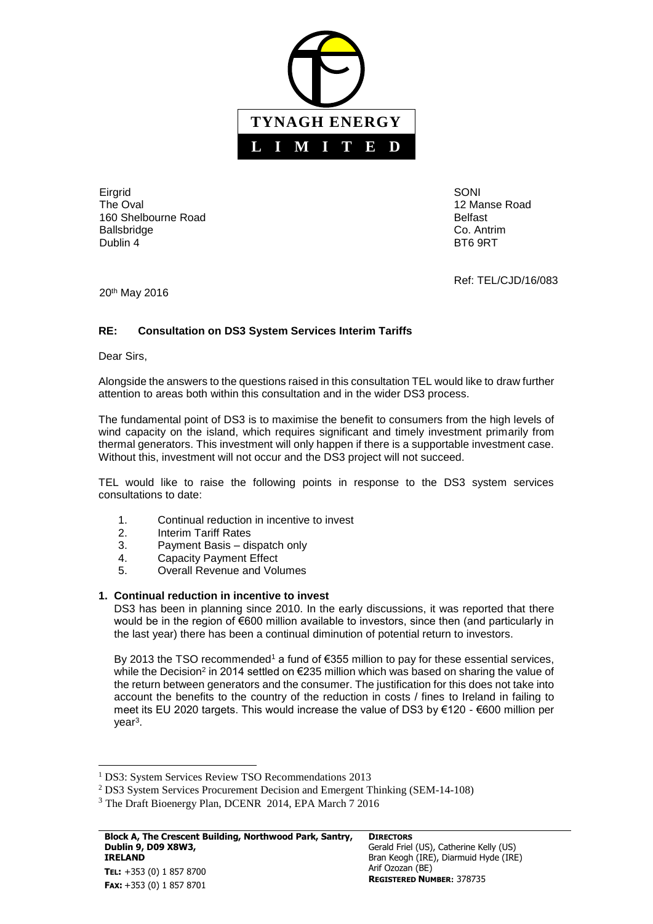

**Eirgrid** The Oval 160 Shelbourne Road Ballsbridge Dublin 4

SONI 12 Manse Road Belfast Co. Antrim BT6 9RT

Ref: TEL/CJD/16/083

20th May 2016

# **RE: Consultation on DS3 System Services Interim Tariffs**

Dear Sirs,

l

Alongside the answers to the questions raised in this consultation TEL would like to draw further attention to areas both within this consultation and in the wider DS3 process.

The fundamental point of DS3 is to maximise the benefit to consumers from the high levels of wind capacity on the island, which requires significant and timely investment primarily from thermal generators. This investment will only happen if there is a supportable investment case. Without this, investment will not occur and the DS3 project will not succeed.

TEL would like to raise the following points in response to the DS3 system services consultations to date:

- 1. Continual reduction in incentive to invest
- 2. Interim Tariff Rates
- 3. Payment Basis dispatch only
- 4. Capacity Payment Effect
- 5. Overall Revenue and Volumes

# **1. Continual reduction in incentive to invest**

DS3 has been in planning since 2010. In the early discussions, it was reported that there would be in the region of €600 million available to investors, since then (and particularly in the last year) there has been a continual diminution of potential return to investors.

By 2013 the TSO recommended<sup>1</sup> a fund of  $\epsilon$ 355 million to pay for these essential services, while the Decision<sup>2</sup> in 2014 settled on €235 million which was based on sharing the value of the return between generators and the consumer. The justification for this does not take into account the benefits to the country of the reduction in costs / fines to Ireland in failing to meet its EU 2020 targets. This would increase the value of DS3 by €120 - €600 million per year<sup>3</sup>.

<sup>&</sup>lt;sup>1</sup> DS3: System Services Review TSO Recommendations 2013

<sup>2</sup> DS3 System Services Procurement Decision and Emergent Thinking (SEM-14-108)

<sup>&</sup>lt;sup>3</sup> The Draft Bioenergy Plan, DCENR 2014, EPA March 7 2016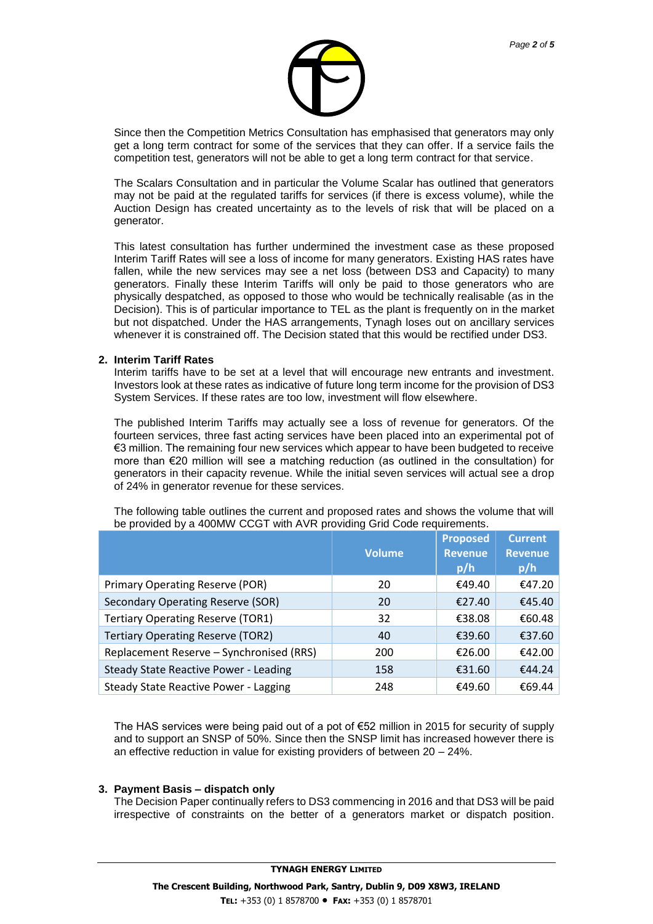

Since then the Competition Metrics Consultation has emphasised that generators may only get a long term contract for some of the services that they can offer. If a service fails the competition test, generators will not be able to get a long term contract for that service.

The Scalars Consultation and in particular the Volume Scalar has outlined that generators may not be paid at the regulated tariffs for services (if there is excess volume), while the Auction Design has created uncertainty as to the levels of risk that will be placed on a generator.

This latest consultation has further undermined the investment case as these proposed Interim Tariff Rates will see a loss of income for many generators. Existing HAS rates have fallen, while the new services may see a net loss (between DS3 and Capacity) to many generators. Finally these Interim Tariffs will only be paid to those generators who are physically despatched, as opposed to those who would be technically realisable (as in the Decision). This is of particular importance to TEL as the plant is frequently on in the market but not dispatched. Under the HAS arrangements, Tynagh loses out on ancillary services whenever it is constrained off. The Decision stated that this would be rectified under DS3.

#### **2. Interim Tariff Rates**

Interim tariffs have to be set at a level that will encourage new entrants and investment. Investors look at these rates as indicative of future long term income for the provision of DS3 System Services. If these rates are too low, investment will flow elsewhere.

The published Interim Tariffs may actually see a loss of revenue for generators. Of the fourteen services, three fast acting services have been placed into an experimental pot of €3 million. The remaining four new services which appear to have been budgeted to receive more than €20 million will see a matching reduction (as outlined in the consultation) for generators in their capacity revenue. While the initial seven services will actual see a drop of 24% in generator revenue for these services.

|                                              | <b>Volume</b> | <b>Proposed</b><br><b>Revenue</b><br>p/h | <b>Current</b><br><b>Revenue</b><br>p/h |
|----------------------------------------------|---------------|------------------------------------------|-----------------------------------------|
| Primary Operating Reserve (POR)              | 20            | €49.40                                   | €47.20                                  |
| Secondary Operating Reserve (SOR)            | 20            | €27.40                                   | €45.40                                  |
| <b>Tertiary Operating Reserve (TOR1)</b>     | 32            | €38.08                                   | €60.48                                  |
| <b>Tertiary Operating Reserve (TOR2)</b>     | 40            | €39.60                                   | €37.60                                  |
| Replacement Reserve - Synchronised (RRS)     | 200           | €26.00                                   | €42.00                                  |
| <b>Steady State Reactive Power - Leading</b> | 158           | €31.60                                   | €44.24                                  |
| <b>Steady State Reactive Power - Lagging</b> | 248           | €49.60                                   | €69.44                                  |

The following table outlines the current and proposed rates and shows the volume that will be provided by a 400MW CCGT with AVR providing Grid Code requirements.

The HAS services were being paid out of a pot of  $\epsilon$ 52 million in 2015 for security of supply and to support an SNSP of 50%. Since then the SNSP limit has increased however there is an effective reduction in value for existing providers of between 20 – 24%.

#### **3. Payment Basis – dispatch only**

The Decision Paper continually refers to DS3 commencing in 2016 and that DS3 will be paid irrespective of constraints on the better of a generators market or dispatch position.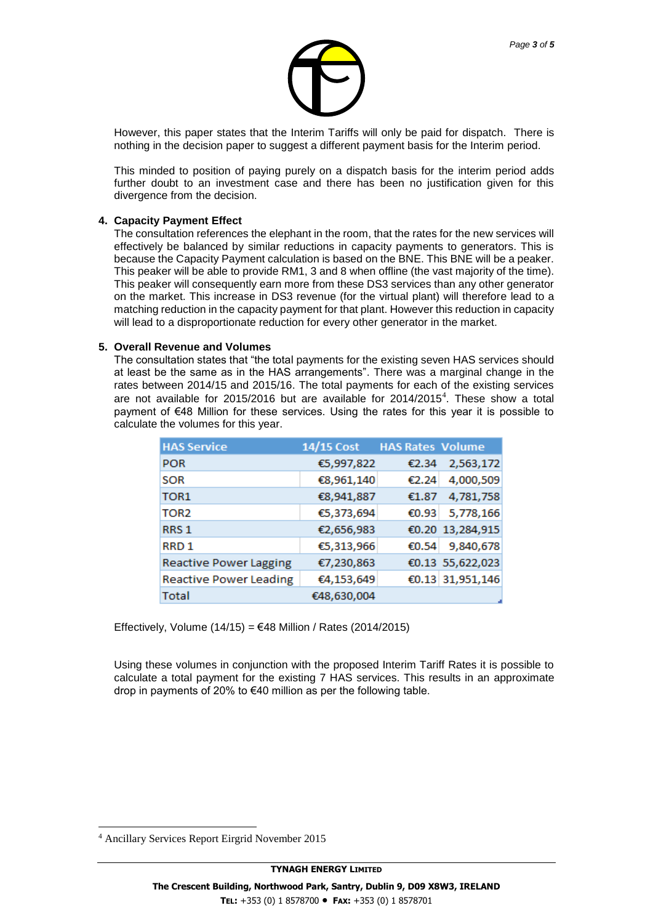

However, this paper states that the Interim Tariffs will only be paid for dispatch. There is nothing in the decision paper to suggest a different payment basis for the Interim period.

This minded to position of paying purely on a dispatch basis for the interim period adds further doubt to an investment case and there has been no justification given for this divergence from the decision.

### **4. Capacity Payment Effect**

The consultation references the elephant in the room, that the rates for the new services will effectively be balanced by similar reductions in capacity payments to generators. This is because the Capacity Payment calculation is based on the BNE. This BNE will be a peaker. This peaker will be able to provide RM1, 3 and 8 when offline (the vast majority of the time). This peaker will consequently earn more from these DS3 services than any other generator on the market. This increase in DS3 revenue (for the virtual plant) will therefore lead to a matching reduction in the capacity payment for that plant. However this reduction in capacity will lead to a disproportionate reduction for every other generator in the market.

## **5. Overall Revenue and Volumes**

The consultation states that "the total payments for the existing seven HAS services should at least be the same as in the HAS arrangements". There was a marginal change in the rates between 2014/15 and 2015/16. The total payments for each of the existing services are not available for 2015/2016 but are available for 2014/2015<sup>4</sup>. These show a total payment of €48 Million for these services. Using the rates for this year it is possible to calculate the volumes for this year.

| <b>HAS Service</b>            | 14/15 Cost  | <b>HAS Rates Volume</b> |                  |
|-------------------------------|-------------|-------------------------|------------------|
| <b>POR</b>                    | €5,997,822  | €2.34                   | 2,563,172        |
| <b>SOR</b>                    | €8,961,140  | €2.24                   | 4,000,509        |
| TOR <sub>1</sub>              | €8,941,887  | €1.87                   | 4,781,758        |
| TOR <sub>2</sub>              | €5,373,694  | €0.93                   | 5,778,166        |
| RRS <sub>1</sub>              | €2,656,983  |                         | €0.20 13,284,915 |
| RRD <sub>1</sub>              | €5,313,966  | €0.54                   | 9,840,678        |
| <b>Reactive Power Lagging</b> | €7,230,863  |                         | €0.13 55,622,023 |
| <b>Reactive Power Leading</b> | €4,153,649  |                         | €0.13 31,951,146 |
| <b>Total</b>                  | €48,630,004 |                         |                  |

Effectively, Volume  $(14/15) = 648$  Million / Rates  $(2014/2015)$ 

Using these volumes in conjunction with the proposed Interim Tariff Rates it is possible to calculate a total payment for the existing 7 HAS services. This results in an approximate drop in payments of 20% to €40 million as per the following table.

l

<sup>4</sup> Ancillary Services Report Eirgrid November 2015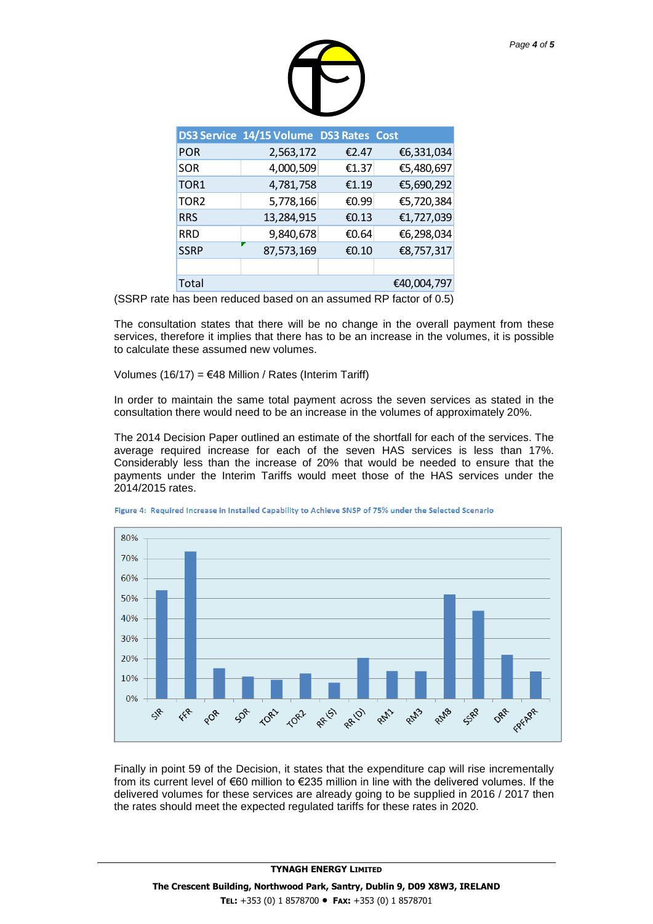| Page 4 of 5 |  |  |
|-------------|--|--|
|             |  |  |

|                  | DS3 Service 14/15 Volume DS3 Rates Cost |       |             |
|------------------|-----------------------------------------|-------|-------------|
| <b>POR</b>       | 2,563,172                               | €2.47 | €6,331,034  |
| <b>SOR</b>       | 4,000,509                               | €1.37 | €5,480,697  |
| TOR <sub>1</sub> | 4,781,758                               | £1.19 | €5,690,292  |
| TOR <sub>2</sub> | 5,778,166                               | €0.99 | €5,720,384  |
| <b>RRS</b>       | 13,284,915                              | €0.13 | €1,727,039  |
| <b>RRD</b>       | 9,840,678                               | €0.64 | €6,298,034  |
| <b>SSRP</b>      | 87,573,169                              | €0.10 | €8,757,317  |
|                  |                                         |       |             |
| Total            |                                         |       | €40,004,797 |

(SSRP rate has been reduced based on an assumed RP factor of 0.5)

The consultation states that there will be no change in the overall payment from these services, therefore it implies that there has to be an increase in the volumes, it is possible to calculate these assumed new volumes.

Volumes (16/17) = €48 Million / Rates (Interim Tariff)

In order to maintain the same total payment across the seven services as stated in the consultation there would need to be an increase in the volumes of approximately 20%.

The 2014 Decision Paper outlined an estimate of the shortfall for each of the services. The average required increase for each of the seven HAS services is less than 17%. Considerably less than the increase of 20% that would be needed to ensure that the payments under the Interim Tariffs would meet those of the HAS services under the 2014/2015 rates.



Figure 4: Required Increase in Installed Capability to Achieve SNSP of 75% under the Selected Scenario

Finally in point 59 of the Decision, it states that the expenditure cap will rise incrementally from its current level of €60 million to €235 million in line with the delivered volumes. If the delivered volumes for these services are already going to be supplied in 2016 / 2017 then the rates should meet the expected regulated tariffs for these rates in 2020.

**TYNAGH ENERGY LIMITED**